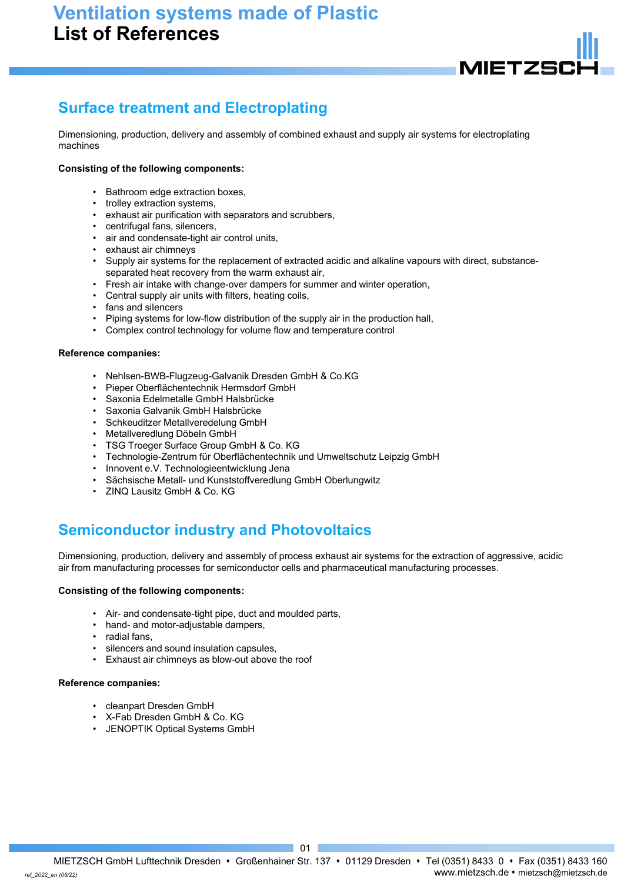# **Ventilation systems made of Plastic List of References**



# **Surface treatment and Electroplating**

Dimensioning, production, delivery and assembly of combined exhaust and supply air systems for electroplating machines

## **Consisting of the following components:**

- Bathroom edge extraction boxes,
- trolley extraction systems,
- exhaust air purification with separators and scrubbers,
- centrifugal fans, silencers,
- air and condensate-tight air control units,
- exhaust air chimneys
- Supply air systems for the replacement of extracted acidic and alkaline vapours with direct, substanceseparated heat recovery from the warm exhaust air,
- Fresh air intake with change-over dampers for summer and winter operation,
- Central supply air units with filters, heating coils,
- fans and silencers
- Piping systems for low-flow distribution of the supply air in the production hall,
- Complex control technology for volume flow and temperature control

### **Reference companies:**

- Nehlsen-BWB-Flugzeug-Galvanik Dresden GmbH & Co.KG
- Pieper Oberflächentechnik Hermsdorf GmbH
- Saxonia Edelmetalle GmbH Halsbrücke
- Saxonia Galvanik GmbH Halsbrücke
- Schkeuditzer Metallveredelung GmbH
- Metallveredlung Döbeln GmbH
- TSG Troeger Surface Group GmbH & Co. KG
- Technologie-Zentrum für Oberflächentechnik und Umweltschutz Leipzig GmbH
- Innovent e.V. Technologieentwicklung Jena
- Sächsische Metall- und Kunststoffveredlung GmbH Oberlungwitz
- ZINQ Lausitz GmbH & Co. KG

# **Semiconductor industry and Photovoltaics**

Dimensioning, production, delivery and assembly of process exhaust air systems for the extraction of aggressive, acidic air from manufacturing processes for semiconductor cells and pharmaceutical manufacturing processes.

### **Consisting of the following components:**

- Air- and condensate-tight pipe, duct and moulded parts,
- hand- and motor-adjustable dampers,
- radial fans,
- silencers and sound insulation capsules,
- Exhaust air chimneys as blow-out above the roof

### **Reference companies:**

- cleanpart Dresden GmbH
- X-Fab Dresden GmbH & Co. KG
- JENOPTIK Optical Systems GmbH